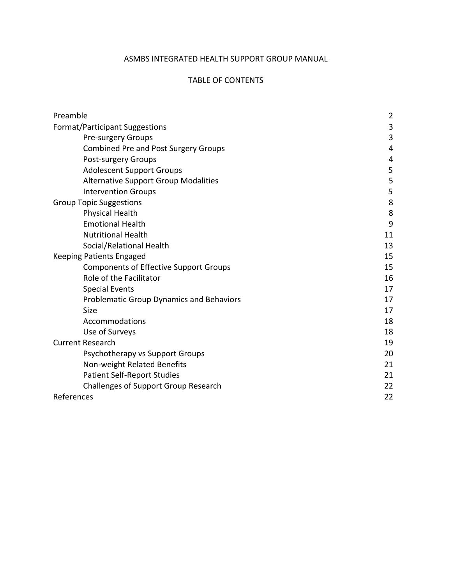# ASMBS INTEGRATED HEALTH SUPPORT GROUP MANUAL

#### TABLE OF CONTENTS

| Preamble                                      | $\overline{2}$ |
|-----------------------------------------------|----------------|
| <b>Format/Participant Suggestions</b>         | 3              |
| <b>Pre-surgery Groups</b>                     | 3              |
| <b>Combined Pre and Post Surgery Groups</b>   | 4              |
| Post-surgery Groups                           | 4              |
| <b>Adolescent Support Groups</b>              | 5              |
| <b>Alternative Support Group Modalities</b>   | 5              |
| <b>Intervention Groups</b>                    | 5              |
| <b>Group Topic Suggestions</b>                | 8              |
| <b>Physical Health</b>                        | 8              |
| <b>Emotional Health</b>                       | 9              |
| <b>Nutritional Health</b>                     | 11             |
| Social/Relational Health                      | 13             |
| <b>Keeping Patients Engaged</b>               | 15             |
| <b>Components of Effective Support Groups</b> | 15             |
| Role of the Facilitator                       | 16             |
| <b>Special Events</b>                         | 17             |
| Problematic Group Dynamics and Behaviors      | 17             |
| <b>Size</b>                                   | 17             |
| Accommodations                                | 18             |
| Use of Surveys                                | 18             |
| <b>Current Research</b>                       | 19             |
| Psychotherapy vs Support Groups               | 20             |
| Non-weight Related Benefits                   | 21             |
| <b>Patient Self-Report Studies</b>            | 21             |
| <b>Challenges of Support Group Research</b>   | 22             |
| References                                    | 22             |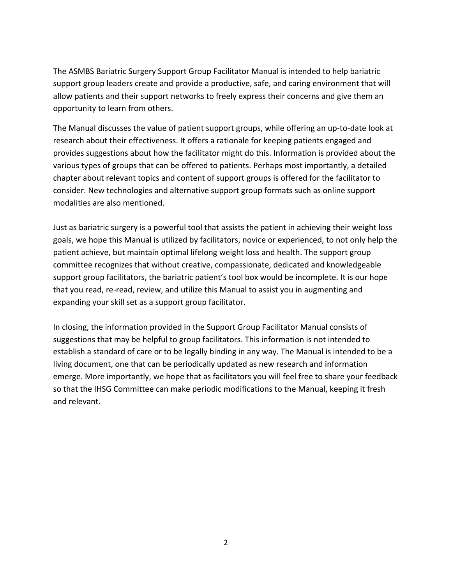The ASMBS Bariatric Surgery Support Group Facilitator Manual is intended to help bariatric support group leaders create and provide a productive, safe, and caring environment that will allow patients and their support networks to freely express their concerns and give them an opportunity to learn from others.

The Manual discusses the value of patient support groups, while offering an up-to-date look at research about their effectiveness. It offers a rationale for keeping patients engaged and provides suggestions about how the facilitator might do this. Information is provided about the various types of groups that can be offered to patients. Perhaps most importantly, a detailed chapter about relevant topics and content of support groups is offered for the facilitator to consider. New technologies and alternative support group formats such as online support modalities are also mentioned.

Just as bariatric surgery is a powerful tool that assists the patient in achieving their weight loss goals, we hope this Manual is utilized by facilitators, novice or experienced, to not only help the patient achieve, but maintain optimal lifelong weight loss and health. The support group committee recognizes that without creative, compassionate, dedicated and knowledgeable support group facilitators, the bariatric patient's tool box would be incomplete. It is our hope that you read, re-read, review, and utilize this Manual to assist you in augmenting and expanding your skill set as a support group facilitator.

In closing, the information provided in the Support Group Facilitator Manual consists of suggestions that may be helpful to group facilitators. This information is not intended to establish a standard of care or to be legally binding in any way. The Manual is intended to be a living document, one that can be periodically updated as new research and information emerge. More importantly, we hope that as facilitators you will feel free to share your feedback so that the IHSG Committee can make periodic modifications to the Manual, keeping it fresh and relevant.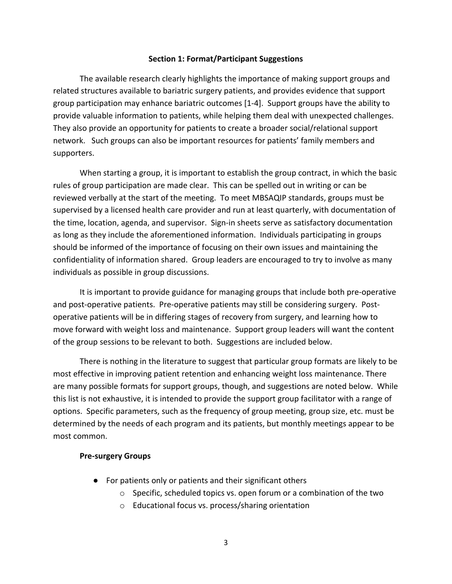#### **Section 1: Format/Participant Suggestions**

The available research clearly highlights the importance of making support groups and related structures available to bariatric surgery patients, and provides evidence that support group participation may enhance bariatric outcomes [1-4]. Support groups have the ability to provide valuable information to patients, while helping them deal with unexpected challenges. They also provide an opportunity for patients to create a broader social/relational support network. Such groups can also be important resources for patients' family members and supporters.

When starting a group, it is important to establish the group contract, in which the basic rules of group participation are made clear. This can be spelled out in writing or can be reviewed verbally at the start of the meeting. To meet MBSAQIP standards, groups must be supervised by a licensed health care provider and run at least quarterly, with documentation of the time, location, agenda, and supervisor. Sign-in sheets serve as satisfactory documentation as long as they include the aforementioned information. Individuals participating in groups should be informed of the importance of focusing on their own issues and maintaining the confidentiality of information shared. Group leaders are encouraged to try to involve as many individuals as possible in group discussions.

It is important to provide guidance for managing groups that include both pre-operative and post-operative patients. Pre-operative patients may still be considering surgery. Postoperative patients will be in differing stages of recovery from surgery, and learning how to move forward with weight loss and maintenance. Support group leaders will want the content of the group sessions to be relevant to both. Suggestions are included below.

There is nothing in the literature to suggest that particular group formats are likely to be most effective in improving patient retention and enhancing weight loss maintenance. There are many possible formats for support groups, though, and suggestions are noted below. While this list is not exhaustive, it is intended to provide the support group facilitator with a range of options. Specific parameters, such as the frequency of group meeting, group size, etc. must be determined by the needs of each program and its patients, but monthly meetings appear to be most common.

#### **Pre-surgery Groups**

- For patients only or patients and their significant others
	- $\circ$  Specific, scheduled topics vs. open forum or a combination of the two
	- o Educational focus vs. process/sharing orientation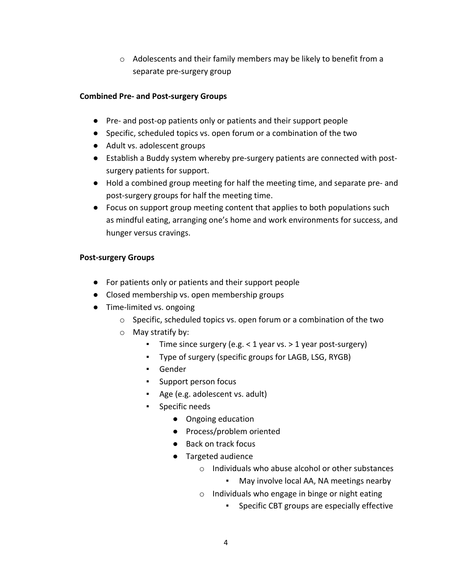$\circ$  Adolescents and their family members may be likely to benefit from a separate pre-surgery group

## **Combined Pre- and Post-surgery Groups**

- Pre- and post-op patients only or patients and their support people
- Specific, scheduled topics vs. open forum or a combination of the two
- Adult vs. adolescent groups
- Establish a Buddy system whereby pre-surgery patients are connected with postsurgery patients for support.
- Hold a combined group meeting for half the meeting time, and separate pre- and post-surgery groups for half the meeting time.
- Focus on support group meeting content that applies to both populations such as mindful eating, arranging one's home and work environments for success, and hunger versus cravings.

## **Post-surgery Groups**

- For patients only or patients and their support people
- Closed membership vs. open membership groups
- Time-limited vs. ongoing
	- o Specific, scheduled topics vs. open forum or a combination of the two
	- o May stratify by:
		- Time since surgery (e.g. < 1 year vs. > 1 year post-surgery)
		- Type of surgery (specific groups for LAGB, LSG, RYGB)
		- Gender
		- Support person focus
		- Age (e.g. adolescent vs. adult)
		- Specific needs
			- Ongoing education
			- Process/problem oriented
			- Back on track focus
			- Targeted audience
				- o Individuals who abuse alcohol or other substances
					- May involve local AA, NA meetings nearby
				- $\circ$  Individuals who engage in binge or night eating
					- **EXED**: Specific CBT groups are especially effective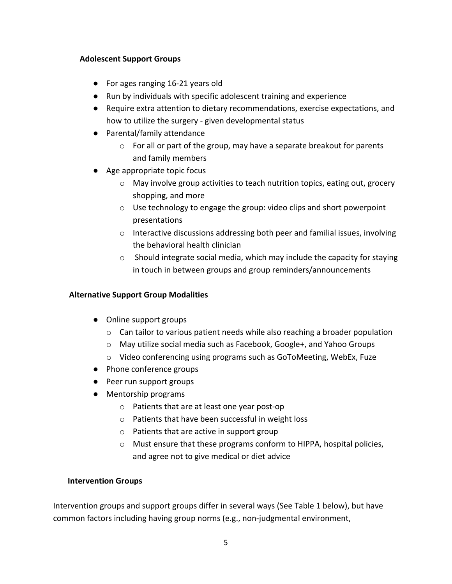## **Adolescent Support Groups**

- For ages ranging 16-21 years old
- Run by individuals with specific adolescent training and experience
- Require extra attention to dietary recommendations, exercise expectations, and how to utilize the surgery - given developmental status
- Parental/family attendance
	- o For all or part of the group, may have a separate breakout for parents and family members
- Age appropriate topic focus
	- $\circ$  May involve group activities to teach nutrition topics, eating out, grocery shopping, and more
	- $\circ$  Use technology to engage the group: video clips and short powerpoint presentations
	- o Interactive discussions addressing both peer and familial issues, involving the behavioral health clinician
	- o Should integrate social media, which may include the capacity for staying in touch in between groups and group reminders/announcements

# **Alternative Support Group Modalities**

- Online support groups
	- $\circ$  Can tailor to various patient needs while also reaching a broader population
	- o May utilize social media such as Facebook, Google+, and Yahoo Groups
	- o Video conferencing using programs such as GoToMeeting, WebEx, Fuze
- Phone conference groups
- Peer run support groups
- Mentorship programs
	- o Patients that are at least one year post-op
	- o Patients that have been successful in weight loss
	- o Patients that are active in support group
	- o Must ensure that these programs conform to HIPPA, hospital policies, and agree not to give medical or diet advice

### **Intervention Groups**

Intervention groups and support groups differ in several ways (See Table 1 below), but have common factors including having group norms (e.g., non-judgmental environment,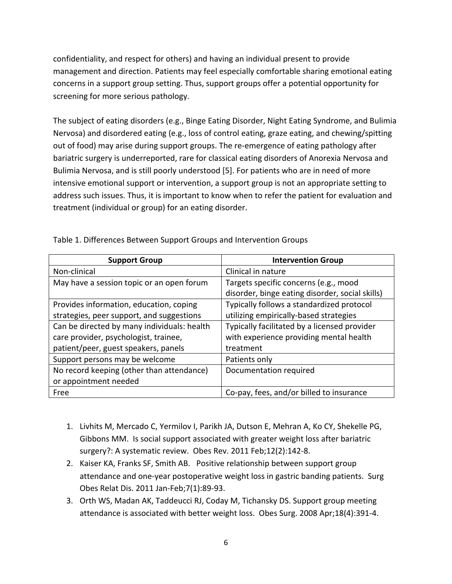confidentiality, and respect for others) and having an individual present to provide management and direction. Patients may feel especially comfortable sharing emotional eating concerns in a support group setting. Thus, support groups offer a potential opportunity for screening for more serious pathology.

The subject of eating disorders (e.g., Binge Eating Disorder, Night Eating Syndrome, and Bulimia Nervosa) and disordered eating (e.g., loss of control eating, graze eating, and chewing/spitting out of food) may arise during support groups. The re-emergence of eating pathology after bariatric surgery is underreported, rare for classical eating disorders of Anorexia Nervosa and Bulimia Nervosa, and is still poorly understood [5]. For patients who are in need of more intensive emotional support or intervention, a support group is not an appropriate setting to address such issues. Thus, it is important to know when to refer the patient for evaluation and treatment (individual or group) for an eating disorder.

| <b>Support Group</b>                        | <b>Intervention Group</b>                                                                |
|---------------------------------------------|------------------------------------------------------------------------------------------|
| Non-clinical                                | Clinical in nature                                                                       |
| May have a session topic or an open forum   | Targets specific concerns (e.g., mood<br>disorder, binge eating disorder, social skills) |
| Provides information, education, coping     | Typically follows a standardized protocol                                                |
| strategies, peer support, and suggestions   | utilizing empirically-based strategies                                                   |
| Can be directed by many individuals: health | Typically facilitated by a licensed provider                                             |
| care provider, psychologist, trainee,       | with experience providing mental health                                                  |
| patient/peer, guest speakers, panels        | treatment                                                                                |
| Support persons may be welcome              | Patients only                                                                            |
| No record keeping (other than attendance)   | Documentation required                                                                   |
| or appointment needed                       |                                                                                          |
| Free                                        | Co-pay, fees, and/or billed to insurance                                                 |

Table 1. Differences Between Support Groups and Intervention Groups

- 1. Livhits M, Mercado C, Yermilov I, Parikh JA, Dutson E, Mehran A, Ko CY, Shekelle PG, Gibbons MM. Is social support associated with greater weight loss after bariatric surgery?: A systematic review. Obes Rev. 2011 Feb;12(2):142-8.
- 2. Kaiser KA, Franks SF, Smith AB. Positive relationship between support group attendance and one-year postoperative weight loss in gastric banding patients. Surg Obes Relat Dis. 2011 Jan-Feb;7(1):89-93.
- 3. Orth WS, Madan AK, Taddeucci RJ, Coday M, Tichansky DS. Support group meeting attendance is associated with better weight loss. Obes Surg. 2008 Apr;18(4):391-4.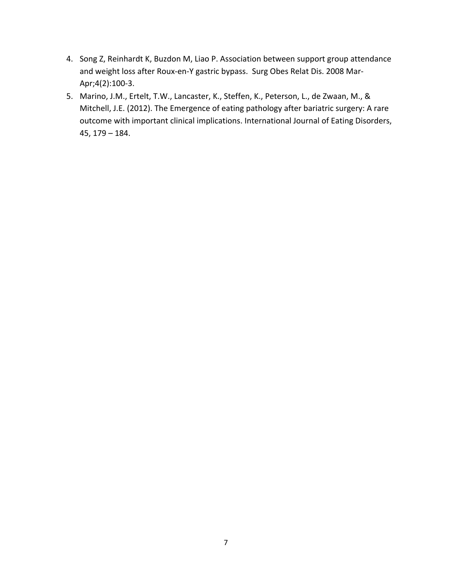- 4. Song Z, Reinhardt K, Buzdon M, Liao P. Association between support group attendance and weight loss after Roux-en-Y gastric bypass. Surg Obes Relat Dis. 2008 Mar-Apr;4(2):100-3.
- 5. Marino, J.M., Ertelt, T.W., Lancaster, K., Steffen, K., Peterson, L., de Zwaan, M., & Mitchell, J.E. (2012). The Emergence of eating pathology after bariatric surgery: A rare outcome with important clinical implications. International Journal of Eating Disorders, 45, 179 – 184.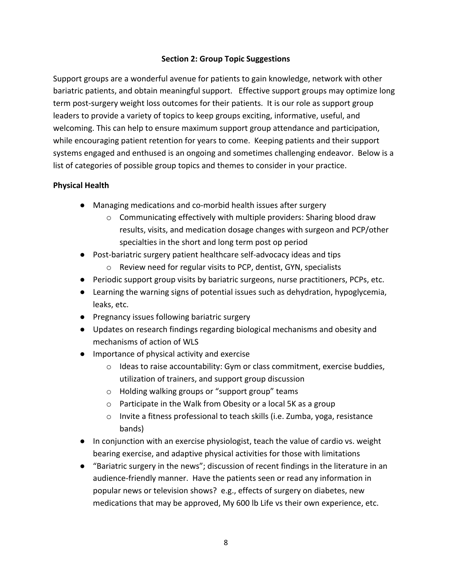## **Section 2: Group Topic Suggestions**

Support groups are a wonderful avenue for patients to gain knowledge, network with other bariatric patients, and obtain meaningful support. Effective support groups may optimize long term post-surgery weight loss outcomes for their patients. It is our role as support group leaders to provide a variety of topics to keep groups exciting, informative, useful, and welcoming. This can help to ensure maximum support group attendance and participation, while encouraging patient retention for years to come. Keeping patients and their support systems engaged and enthused is an ongoing and sometimes challenging endeavor. Below is a list of categories of possible group topics and themes to consider in your practice.

## **Physical Health**

- Managing medications and co-morbid health issues after surgery
	- o Communicating effectively with multiple providers: Sharing blood draw results, visits, and medication dosage changes with surgeon and PCP/other specialties in the short and long term post op period
- Post-bariatric surgery patient healthcare self-advocacy ideas and tips
	- o Review need for regular visits to PCP, dentist, GYN, specialists
- Periodic support group visits by bariatric surgeons, nurse practitioners, PCPs, etc.
- Learning the warning signs of potential issues such as dehydration, hypoglycemia, leaks, etc.
- Pregnancy issues following bariatric surgery
- Updates on research findings regarding biological mechanisms and obesity and mechanisms of action of WLS
- Importance of physical activity and exercise
	- $\circ$  Ideas to raise accountability: Gym or class commitment, exercise buddies, utilization of trainers, and support group discussion
	- o Holding walking groups or "support group" teams
	- o Participate in the Walk from Obesity or a local 5K as a group
	- o Invite a fitness professional to teach skills (i.e. Zumba, yoga, resistance bands)
- In conjunction with an exercise physiologist, teach the value of cardio vs. weight bearing exercise, and adaptive physical activities for those with limitations
- "Bariatric surgery in the news"; discussion of recent findings in the literature in an audience-friendly manner. Have the patients seen or read any information in popular news or television shows? e.g., effects of surgery on diabetes, new medications that may be approved, My 600 lb Life vs their own experience, etc.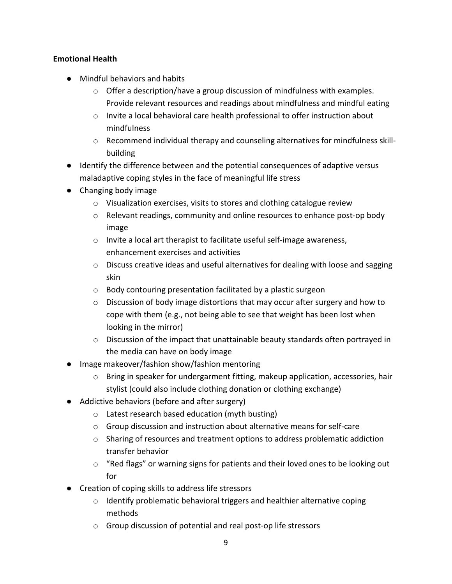# **Emotional Health**

- Mindful behaviors and habits
	- $\circ$  Offer a description/have a group discussion of mindfulness with examples. Provide relevant resources and readings about mindfulness and mindful eating
	- o Invite a local behavioral care health professional to offer instruction about mindfulness
	- $\circ$  Recommend individual therapy and counseling alternatives for mindfulness skillbuilding
- Identify the difference between and the potential consequences of adaptive versus maladaptive coping styles in the face of meaningful life stress
- Changing body image
	- o Visualization exercises, visits to stores and clothing catalogue review
	- $\circ$  Relevant readings, community and online resources to enhance post-op body image
	- o Invite a local art therapist to facilitate useful self-image awareness, enhancement exercises and activities
	- $\circ$  Discuss creative ideas and useful alternatives for dealing with loose and sagging skin
	- o Body contouring presentation facilitated by a plastic surgeon
	- $\circ$  Discussion of body image distortions that may occur after surgery and how to cope with them (e.g., not being able to see that weight has been lost when looking in the mirror)
	- $\circ$  Discussion of the impact that unattainable beauty standards often portrayed in the media can have on body image
- Image makeover/fashion show/fashion mentoring
	- o Bring in speaker for undergarment fitting, makeup application, accessories, hair stylist (could also include clothing donation or clothing exchange)
- Addictive behaviors (before and after surgery)
	- o Latest research based education (myth busting)
	- o Group discussion and instruction about alternative means for self-care
	- $\circ$  Sharing of resources and treatment options to address problematic addiction transfer behavior
	- o "Red flags" or warning signs for patients and their loved ones to be looking out for
- Creation of coping skills to address life stressors
	- o Identify problematic behavioral triggers and healthier alternative coping methods
	- o Group discussion of potential and real post-op life stressors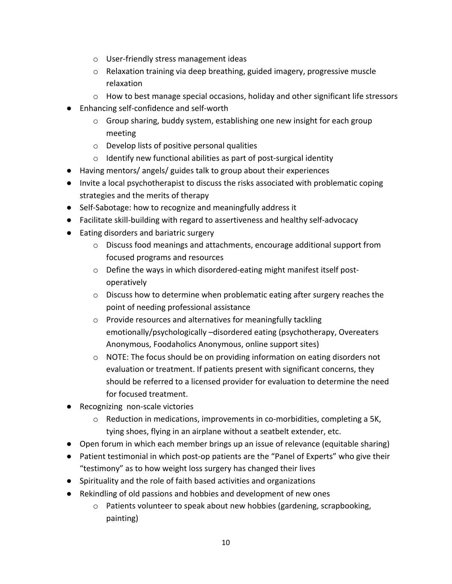- o User-friendly stress management ideas
- $\circ$  Relaxation training via deep breathing, guided imagery, progressive muscle relaxation
- $\circ$  How to best manage special occasions, holiday and other significant life stressors
- Enhancing self-confidence and self-worth
	- o Group sharing, buddy system, establishing one new insight for each group meeting
	- o Develop lists of positive personal qualities
	- o Identify new functional abilities as part of post-surgical identity
- Having mentors/ angels/ guides talk to group about their experiences
- Invite a local psychotherapist to discuss the risks associated with problematic coping strategies and the merits of therapy
- Self-Sabotage: how to recognize and meaningfully address it
- Facilitate skill-building with regard to assertiveness and healthy self-advocacy
- Eating disorders and bariatric surgery
	- $\circ$  Discuss food meanings and attachments, encourage additional support from focused programs and resources
	- o Define the ways in which disordered-eating might manifest itself postoperatively
	- $\circ$  Discuss how to determine when problematic eating after surgery reaches the point of needing professional assistance
	- o Provide resources and alternatives for meaningfully tackling emotionally/psychologically –disordered eating (psychotherapy, Overeaters Anonymous, Foodaholics Anonymous, online support sites)
	- $\circ$  NOTE: The focus should be on providing information on eating disorders not evaluation or treatment. If patients present with significant concerns, they should be referred to a licensed provider for evaluation to determine the need for focused treatment.
- Recognizing non-scale victories
	- o Reduction in medications, improvements in co-morbidities, completing a 5K, tying shoes, flying in an airplane without a seatbelt extender, etc.
- Open forum in which each member brings up an issue of relevance (equitable sharing)
- Patient testimonial in which post-op patients are the "Panel of Experts" who give their "testimony" as to how weight loss surgery has changed their lives
- Spirituality and the role of faith based activities and organizations
- Rekindling of old passions and hobbies and development of new ones
	- $\circ$  Patients volunteer to speak about new hobbies (gardening, scrapbooking, painting)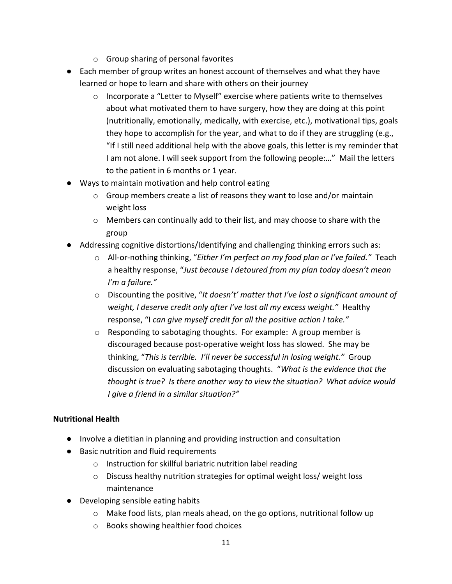- o Group sharing of personal favorites
- Each member of group writes an honest account of themselves and what they have learned or hope to learn and share with others on their journey
	- o Incorporate a "Letter to Myself" exercise where patients write to themselves about what motivated them to have surgery, how they are doing at this point (nutritionally, emotionally, medically, with exercise, etc.), motivational tips, goals they hope to accomplish for the year, and what to do if they are struggling (e.g., "If I still need additional help with the above goals, this letter is my reminder that I am not alone. I will seek support from the following people:…" Mail the letters to the patient in 6 months or 1 year.
- Ways to maintain motivation and help control eating
	- o Group members create a list of reasons they want to lose and/or maintain weight loss
	- $\circ$  Members can continually add to their list, and may choose to share with the group
- Addressing cognitive distortions/Identifying and challenging thinking errors such as:
	- o All-or-nothing thinking, "*Either I'm perfect on my food plan or I've failed."* Teach a healthy response, "*Just because I detoured from my plan today doesn't mean I'm a failure."*
	- o Discounting the positive, "*It doesn't' matter that I've lost a significant amount of weight, I deserve credit only after I've lost all my excess weight."* Healthy response, "I *can give myself credit for all the positive action I take."*
	- o Responding to sabotaging thoughts. For example: A group member is discouraged because post-operative weight loss has slowed. She may be thinking, "*This is terrible. I'll never be successful in losing weight."* Group discussion on evaluating sabotaging thoughts. "*What is the evidence that the thought is true? Is there another way to view the situation? What advice would I give a friend in a similar situation?"*

# **Nutritional Health**

- Involve a dietitian in planning and providing instruction and consultation
- Basic nutrition and fluid requirements
	- o Instruction for skillful bariatric nutrition label reading
	- o Discuss healthy nutrition strategies for optimal weight loss/ weight loss maintenance
- Developing sensible eating habits
	- $\circ$  Make food lists, plan meals ahead, on the go options, nutritional follow up
	- o Books showing healthier food choices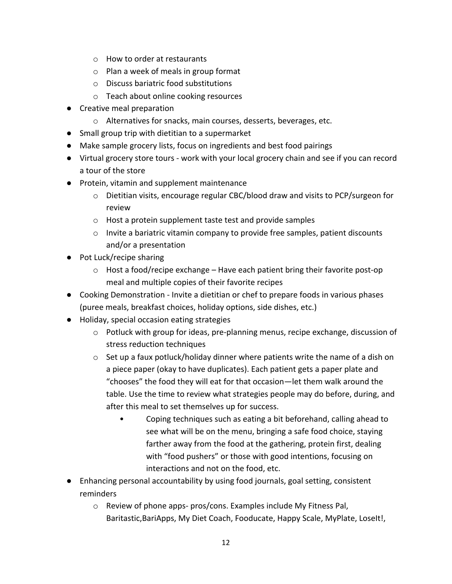- o How to order at restaurants
- o Plan a week of meals in group format
- o Discuss bariatric food substitutions
- o Teach about online cooking resources
- Creative meal preparation
	- o Alternatives for snacks, main courses, desserts, beverages, etc.
- Small group trip with dietitian to a supermarket
- Make sample grocery lists, focus on ingredients and best food pairings
- Virtual grocery store tours work with your local grocery chain and see if you can record a tour of the store
- Protein, vitamin and supplement maintenance
	- o Dietitian visits, encourage regular CBC/blood draw and visits to PCP/surgeon for review
	- o Host a protein supplement taste test and provide samples
	- $\circ$  Invite a bariatric vitamin company to provide free samples, patient discounts and/or a presentation
- Pot Luck/recipe sharing
	- $\circ$  Host a food/recipe exchange Have each patient bring their favorite post-op meal and multiple copies of their favorite recipes
- Cooking Demonstration Invite a dietitian or chef to prepare foods in various phases (puree meals, breakfast choices, holiday options, side dishes, etc.)
- Holiday, special occasion eating strategies
	- $\circ$  Potluck with group for ideas, pre-planning menus, recipe exchange, discussion of stress reduction techniques
	- $\circ$  Set up a faux potluck/holiday dinner where patients write the name of a dish on a piece paper (okay to have duplicates). Each patient gets a paper plate and "chooses" the food they will eat for that occasion—let them walk around the table. Use the time to review what strategies people may do before, during, and after this meal to set themselves up for success.
		- Coping techniques such as eating a bit beforehand, calling ahead to see what will be on the menu, bringing a safe food choice, staying farther away from the food at the gathering, protein first, dealing with "food pushers" or those with good intentions, focusing on interactions and not on the food, etc.
- Enhancing personal accountability by using food journals, goal setting, consistent reminders
	- o Review of phone apps- pros/cons. Examples include My Fitness Pal, Baritastic, BariApps, My Diet Coach, Fooducate, Happy Scale, MyPlate, LoseIt!,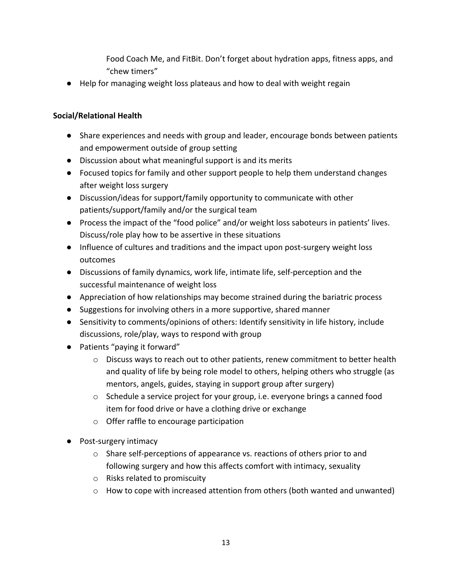Food Coach Me, and FitBit. Don't forget about hydration apps, fitness apps, and "chew timers"

● Help for managing weight loss plateaus and how to deal with weight regain

# **Social/Relational Health**

- Share experiences and needs with group and leader, encourage bonds between patients and empowerment outside of group setting
- Discussion about what meaningful support is and its merits
- Focused topics for family and other support people to help them understand changes after weight loss surgery
- Discussion/ideas for support/family opportunity to communicate with other patients/support/family and/or the surgical team
- Process the impact of the "food police" and/or weight loss saboteurs in patients' lives. Discuss/role play how to be assertive in these situations
- Influence of cultures and traditions and the impact upon post-surgery weight loss outcomes
- Discussions of family dynamics, work life, intimate life, self-perception and the successful maintenance of weight loss
- Appreciation of how relationships may become strained during the bariatric process
- Suggestions for involving others in a more supportive, shared manner
- Sensitivity to comments/opinions of others: Identify sensitivity in life history, include discussions, role/play, ways to respond with group
- Patients "paying it forward"
	- $\circ$  Discuss ways to reach out to other patients, renew commitment to better health and quality of life by being role model to others, helping others who struggle (as mentors, angels, guides, staying in support group after surgery)
	- $\circ$  Schedule a service project for your group, i.e. everyone brings a canned food item for food drive or have a clothing drive or exchange
	- o Offer raffle to encourage participation
- Post-surgery intimacy
	- o Share self-perceptions of appearance vs. reactions of others prior to and following surgery and how this affects comfort with intimacy, sexuality
	- o Risks related to promiscuity
	- $\circ$  How to cope with increased attention from others (both wanted and unwanted)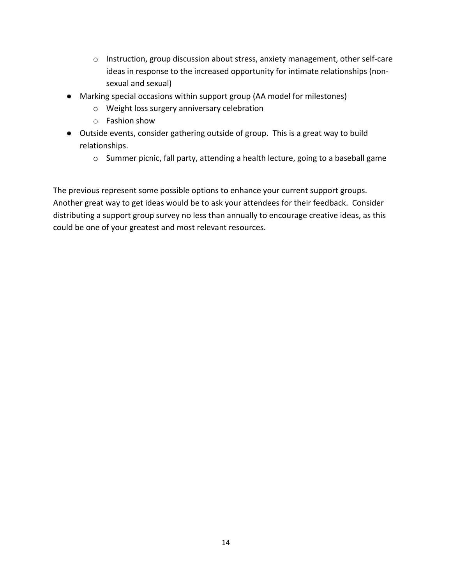- o Instruction, group discussion about stress, anxiety management, other self-care ideas in response to the increased opportunity for intimate relationships (nonsexual and sexual)
- Marking special occasions within support group (AA model for milestones)
	- o Weight loss surgery anniversary celebration
	- o Fashion show
- Outside events, consider gathering outside of group. This is a great way to build relationships.
	- o Summer picnic, fall party, attending a health lecture, going to a baseball game

The previous represent some possible options to enhance your current support groups. Another great way to get ideas would be to ask your attendees for their feedback. Consider distributing a support group survey no less than annually to encourage creative ideas, as this could be one of your greatest and most relevant resources.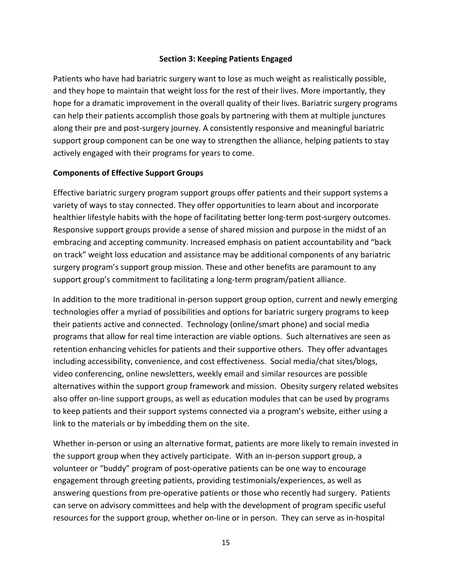## **Section 3: Keeping Patients Engaged**

Patients who have had bariatric surgery want to lose as much weight as realistically possible, and they hope to maintain that weight loss for the rest of their lives. More importantly, they hope for a dramatic improvement in the overall quality of their lives. Bariatric surgery programs can help their patients accomplish those goals by partnering with them at multiple junctures along their pre and post-surgery journey. A consistently responsive and meaningful bariatric support group component can be one way to strengthen the alliance, helping patients to stay actively engaged with their programs for years to come.

### **Components of Effective Support Groups**

Effective bariatric surgery program support groups offer patients and their support systems a variety of ways to stay connected. They offer opportunities to learn about and incorporate healthier lifestyle habits with the hope of facilitating better long-term post-surgery outcomes. Responsive support groups provide a sense of shared mission and purpose in the midst of an embracing and accepting community. Increased emphasis on patient accountability and "back on track" weight loss education and assistance may be additional components of any bariatric surgery program's support group mission. These and other benefits are paramount to any support group's commitment to facilitating a long-term program/patient alliance.

In addition to the more traditional in-person support group option, current and newly emerging technologies offer a myriad of possibilities and options for bariatric surgery programs to keep their patients active and connected. Technology (online/smart phone) and social media programs that allow for real time interaction are viable options. Such alternatives are seen as retention enhancing vehicles for patients and their supportive others. They offer advantages including accessibility, convenience, and cost effectiveness. Social media/chat sites/blogs, video conferencing, online newsletters, weekly email and similar resources are possible alternatives within the support group framework and mission. Obesity surgery related websites also offer on-line support groups, as well as education modules that can be used by programs to keep patients and their support systems connected via a program's website, either using a link to the materials or by imbedding them on the site.

Whether in-person or using an alternative format, patients are more likely to remain invested in the support group when they actively participate. With an in-person support group, a volunteer or "buddy" program of post-operative patients can be one way to encourage engagement through greeting patients, providing testimonials/experiences, as well as answering questions from pre-operative patients or those who recently had surgery. Patients can serve on advisory committees and help with the development of program specific useful resources for the support group, whether on-line or in person. They can serve as in-hospital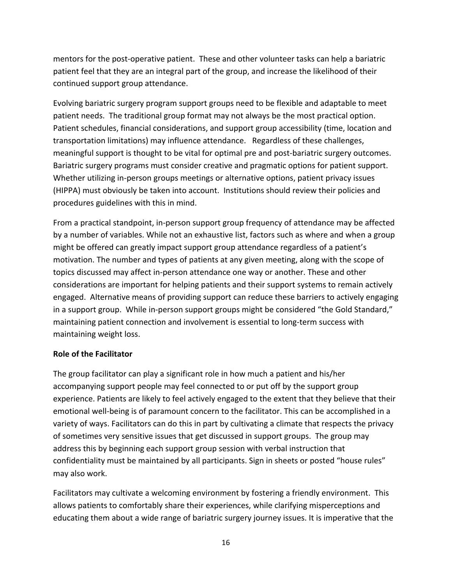mentors for the post-operative patient. These and other volunteer tasks can help a bariatric patient feel that they are an integral part of the group, and increase the likelihood of their continued support group attendance.

Evolving bariatric surgery program support groups need to be flexible and adaptable to meet patient needs. The traditional group format may not always be the most practical option. Patient schedules, financial considerations, and support group accessibility (time, location and transportation limitations) may influence attendance. Regardless of these challenges, meaningful support is thought to be vital for optimal pre and post-bariatric surgery outcomes. Bariatric surgery programs must consider creative and pragmatic options for patient support. Whether utilizing in-person groups meetings or alternative options, patient privacy issues (HIPPA) must obviously be taken into account. Institutions should review their policies and procedures guidelines with this in mind.

From a practical standpoint, in-person support group frequency of attendance may be affected by a number of variables. While not an exhaustive list, factors such as where and when a group might be offered can greatly impact support group attendance regardless of a patient's motivation. The number and types of patients at any given meeting, along with the scope of topics discussed may affect in-person attendance one way or another. These and other considerations are important for helping patients and their support systems to remain actively engaged. Alternative means of providing support can reduce these barriers to actively engaging in a support group. While in-person support groups might be considered "the Gold Standard," maintaining patient connection and involvement is essential to long-term success with maintaining weight loss.

### **Role of the Facilitator**

The group facilitator can play a significant role in how much a patient and his/her accompanying support people may feel connected to or put off by the support group experience. Patients are likely to feel actively engaged to the extent that they believe that their emotional well-being is of paramount concern to the facilitator. This can be accomplished in a variety of ways. Facilitators can do this in part by cultivating a climate that respects the privacy of sometimes very sensitive issues that get discussed in support groups. The group may address this by beginning each support group session with verbal instruction that confidentiality must be maintained by all participants. Sign in sheets or posted "house rules" may also work.

Facilitators may cultivate a welcoming environment by fostering a friendly environment. This allows patients to comfortably share their experiences, while clarifying misperceptions and educating them about a wide range of bariatric surgery journey issues. It is imperative that the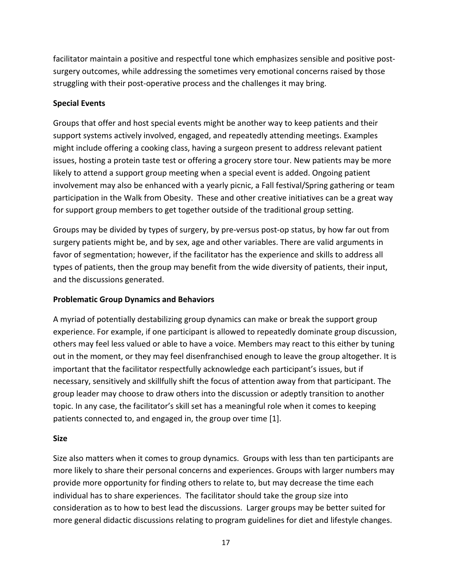facilitator maintain a positive and respectful tone which emphasizes sensible and positive postsurgery outcomes, while addressing the sometimes very emotional concerns raised by those struggling with their post-operative process and the challenges it may bring.

# **Special Events**

Groups that offer and host special events might be another way to keep patients and their support systems actively involved, engaged, and repeatedly attending meetings. Examples might include offering a cooking class, having a surgeon present to address relevant patient issues, hosting a protein taste test or offering a grocery store tour. New patients may be more likely to attend a support group meeting when a special event is added. Ongoing patient involvement may also be enhanced with a yearly picnic, a Fall festival/Spring gathering or team participation in the Walk from Obesity. These and other creative initiatives can be a great way for support group members to get together outside of the traditional group setting.

Groups may be divided by types of surgery, by pre-versus post-op status, by how far out from surgery patients might be, and by sex, age and other variables. There are valid arguments in favor of segmentation; however, if the facilitator has the experience and skills to address all types of patients, then the group may benefit from the wide diversity of patients, their input, and the discussions generated.

### **Problematic Group Dynamics and Behaviors**

A myriad of potentially destabilizing group dynamics can make or break the support group experience. For example, if one participant is allowed to repeatedly dominate group discussion, others may feel less valued or able to have a voice. Members may react to this either by tuning out in the moment, or they may feel disenfranchised enough to leave the group altogether. It is important that the facilitator respectfully acknowledge each participant's issues, but if necessary, sensitively and skillfully shift the focus of attention away from that participant. The group leader may choose to draw others into the discussion or adeptly transition to another topic. In any case, the facilitator's skill set has a meaningful role when it comes to keeping patients connected to, and engaged in, the group over time [1].

### **Size**

Size also matters when it comes to group dynamics. Groups with less than ten participants are more likely to share their personal concerns and experiences. Groups with larger numbers may provide more opportunity for finding others to relate to, but may decrease the time each individual has to share experiences. The facilitator should take the group size into consideration as to how to best lead the discussions. Larger groups may be better suited for more general didactic discussions relating to program guidelines for diet and lifestyle changes.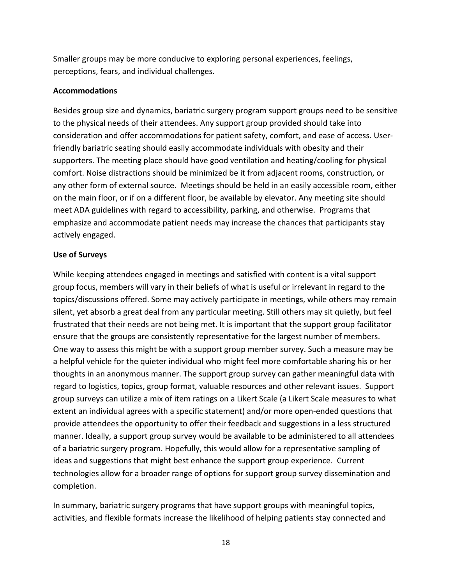Smaller groups may be more conducive to exploring personal experiences, feelings, perceptions, fears, and individual challenges.

### **Accommodations**

Besides group size and dynamics, bariatric surgery program support groups need to be sensitive to the physical needs of their attendees. Any support group provided should take into consideration and offer accommodations for patient safety, comfort, and ease of access. Userfriendly bariatric seating should easily accommodate individuals with obesity and their supporters. The meeting place should have good ventilation and heating/cooling for physical comfort. Noise distractions should be minimized be it from adjacent rooms, construction, or any other form of external source. Meetings should be held in an easily accessible room, either on the main floor, or if on a different floor, be available by elevator. Any meeting site should meet ADA guidelines with regard to accessibility, parking, and otherwise. Programs that emphasize and accommodate patient needs may increase the chances that participants stay actively engaged.

#### **Use of Surveys**

While keeping attendees engaged in meetings and satisfied with content is a vital support group focus, members will vary in their beliefs of what is useful or irrelevant in regard to the topics/discussions offered. Some may actively participate in meetings, while others may remain silent, yet absorb a great deal from any particular meeting. Still others may sit quietly, but feel frustrated that their needs are not being met. It is important that the support group facilitator ensure that the groups are consistently representative for the largest number of members. One way to assess this might be with a support group member survey. Such a measure may be a helpful vehicle for the quieter individual who might feel more comfortable sharing his or her thoughts in an anonymous manner. The support group survey can gather meaningful data with regard to logistics, topics, group format, valuable resources and other relevant issues. Support group surveys can utilize a mix of item ratings on a Likert Scale (a Likert Scale measures to what extent an individual agrees with a specific statement) and/or more open-ended questions that provide attendees the opportunity to offer their feedback and suggestions in a less structured manner. Ideally, a support group survey would be available to be administered to all attendees of a bariatric surgery program. Hopefully, this would allow for a representative sampling of ideas and suggestions that might best enhance the support group experience. Current technologies allow for a broader range of options for support group survey dissemination and completion.

In summary, bariatric surgery programs that have support groups with meaningful topics, activities, and flexible formats increase the likelihood of helping patients stay connected and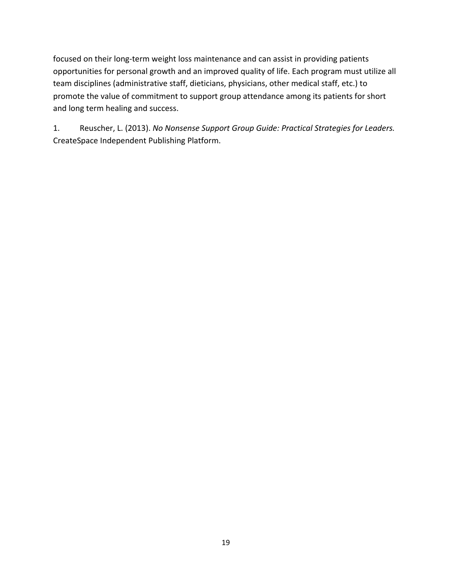focused on their long-term weight loss maintenance and can assist in providing patients opportunities for personal growth and an improved quality of life. Each program must utilize all team disciplines (administrative staff, dieticians, physicians, other medical staff, etc.) to promote the value of commitment to support group attendance among its patients for short and long term healing and success.

1. Reuscher, L. (2013). *No Nonsense Support Group Guide: Practical Strategies for Leaders.*  CreateSpace Independent Publishing Platform.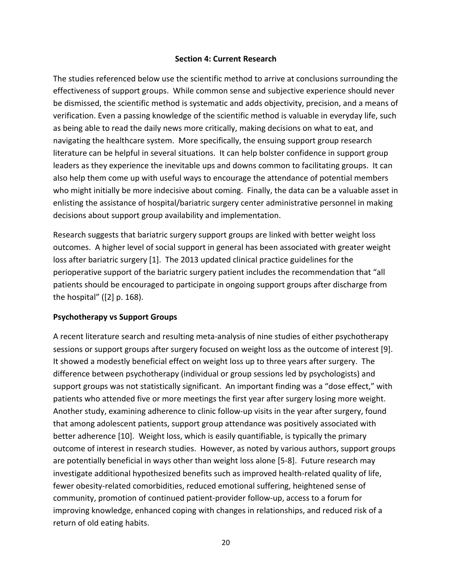### **Section 4: Current Research**

The studies referenced below use the scientific method to arrive at conclusions surrounding the effectiveness of support groups. While common sense and subjective experience should never be dismissed, the scientific method is systematic and adds objectivity, precision, and a means of verification. Even a passing knowledge of the scientific method is valuable in everyday life, such as being able to read the daily news more critically, making decisions on what to eat, and navigating the healthcare system. More specifically, the ensuing support group research literature can be helpful in several situations. It can help bolster confidence in support group leaders as they experience the inevitable ups and downs common to facilitating groups. It can also help them come up with useful ways to encourage the attendance of potential members who might initially be more indecisive about coming. Finally, the data can be a valuable asset in enlisting the assistance of hospital/bariatric surgery center administrative personnel in making decisions about support group availability and implementation.

Research suggests that bariatric surgery support groups are linked with better weight loss outcomes. A higher level of social support in general has been associated with greater weight loss after bariatric surgery [1]. The 2013 updated clinical practice guidelines for the perioperative support of the bariatric surgery patient includes the recommendation that "all patients should be encouraged to participate in ongoing support groups after discharge from the hospital" ([2] p. 168).

### **Psychotherapy vs Support Groups**

A recent literature search and resulting meta-analysis of nine studies of either psychotherapy sessions or support groups after surgery focused on weight loss as the outcome of interest [9]. It showed a modestly beneficial effect on weight loss up to three years after surgery. The difference between psychotherapy (individual or group sessions led by psychologists) and support groups was not statistically significant. An important finding was a "dose effect," with patients who attended five or more meetings the first year after surgery losing more weight. Another study, examining adherence to clinic follow-up visits in the year after surgery, found that among adolescent patients, support group attendance was positively associated with better adherence [10]. Weight loss, which is easily quantifiable, is typically the primary outcome of interest in research studies. However, as noted by various authors, support groups are potentially beneficial in ways other than weight loss alone [5-8]. Future research may investigate additional hypothesized benefits such as improved health-related quality of life, fewer obesity-related comorbidities, reduced emotional suffering, heightened sense of community, promotion of continued patient-provider follow-up, access to a forum for improving knowledge, enhanced coping with changes in relationships, and reduced risk of a return of old eating habits.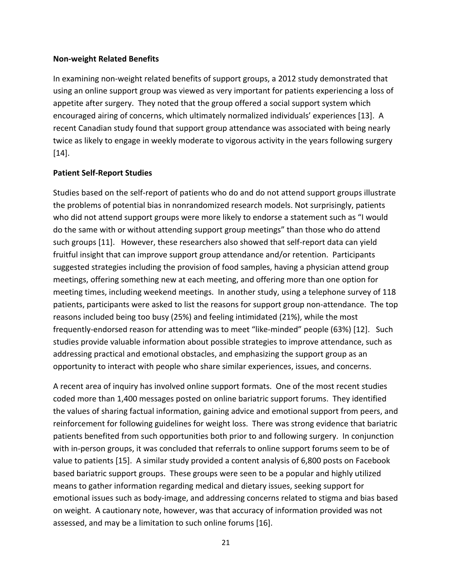#### **Non-weight Related Benefits**

In examining non-weight related benefits of support groups, a 2012 study demonstrated that using an online support group was viewed as very important for patients experiencing a loss of appetite after surgery. They noted that the group offered a social support system which encouraged airing of concerns, which ultimately normalized individuals' experiences [13]. A recent Canadian study found that support group attendance was associated with being nearly twice as likely to engage in weekly moderate to vigorous activity in the years following surgery [14].

### **Patient Self-Report Studies**

Studies based on the self-report of patients who do and do not attend support groups illustrate the problems of potential bias in nonrandomized research models. Not surprisingly, patients who did not attend support groups were more likely to endorse a statement such as "I would do the same with or without attending support group meetings" than those who do attend such groups [11]. However, these researchers also showed that self-report data can yield fruitful insight that can improve support group attendance and/or retention. Participants suggested strategies including the provision of food samples, having a physician attend group meetings, offering something new at each meeting, and offering more than one option for meeting times, including weekend meetings. In another study, using a telephone survey of 118 patients, participants were asked to list the reasons for support group non-attendance. The top reasons included being too busy (25%) and feeling intimidated (21%), while the most frequently-endorsed reason for attending was to meet "like-minded" people (63%) [12]. Such studies provide valuable information about possible strategies to improve attendance, such as addressing practical and emotional obstacles, and emphasizing the support group as an opportunity to interact with people who share similar experiences, issues, and concerns.

A recent area of inquiry has involved online support formats. One of the most recent studies coded more than 1,400 messages posted on online bariatric support forums. They identified the values of sharing factual information, gaining advice and emotional support from peers, and reinforcement for following guidelines for weight loss. There was strong evidence that bariatric patients benefited from such opportunities both prior to and following surgery. In conjunction with in-person groups, it was concluded that referrals to online support forums seem to be of value to patients [15]. A similar study provided a content analysis of 6,800 posts on Facebook based bariatric support groups. These groups were seen to be a popular and highly utilized means to gather information regarding medical and dietary issues, seeking support for emotional issues such as body-image, and addressing concerns related to stigma and bias based on weight. A cautionary note, however, was that accuracy of information provided was not assessed, and may be a limitation to such online forums [16].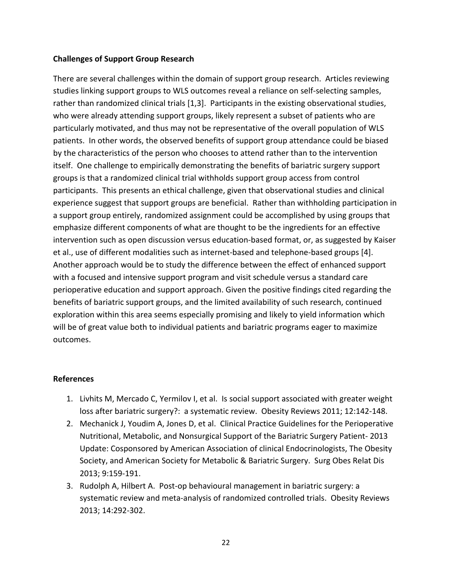### **Challenges of Support Group Research**

There are several challenges within the domain of support group research. Articles reviewing studies linking support groups to WLS outcomes reveal a reliance on self-selecting samples, rather than randomized clinical trials [1,3]. Participants in the existing observational studies, who were already attending support groups, likely represent a subset of patients who are particularly motivated, and thus may not be representative of the overall population of WLS patients. In other words, the observed benefits of support group attendance could be biased by the characteristics of the person who chooses to attend rather than to the intervention itself. One challenge to empirically demonstrating the benefits of bariatric surgery support groups is that a randomized clinical trial withholds support group access from control participants. This presents an ethical challenge, given that observational studies and clinical experience suggest that support groups are beneficial. Rather than withholding participation in a support group entirely, randomized assignment could be accomplished by using groups that emphasize different components of what are thought to be the ingredients for an effective intervention such as open discussion versus education-based format, or, as suggested by Kaiser et al., use of different modalities such as internet-based and telephone-based groups [4]. Another approach would be to study the difference between the effect of enhanced support with a focused and intensive support program and visit schedule versus a standard care perioperative education and support approach. Given the positive findings cited regarding the benefits of bariatric support groups, and the limited availability of such research, continued exploration within this area seems especially promising and likely to yield information which will be of great value both to individual patients and bariatric programs eager to maximize outcomes.

### **References**

- 1. Livhits M, Mercado C, Yermilov I, et al. Is social support associated with greater weight loss after bariatric surgery?: a systematic review. Obesity Reviews 2011; 12:142-148.
- 2. Mechanick J, Youdim A, Jones D, et al. Clinical Practice Guidelines for the Perioperative Nutritional, Metabolic, and Nonsurgical Support of the Bariatric Surgery Patient- 2013 Update: Cosponsored by American Association of clinical Endocrinologists, The Obesity Society, and American Society for Metabolic & Bariatric Surgery. Surg Obes Relat Dis 2013; 9:159-191.
- 3. Rudolph A, Hilbert A. Post-op behavioural management in bariatric surgery: a systematic review and meta-analysis of randomized controlled trials. Obesity Reviews 2013; 14:292-302.